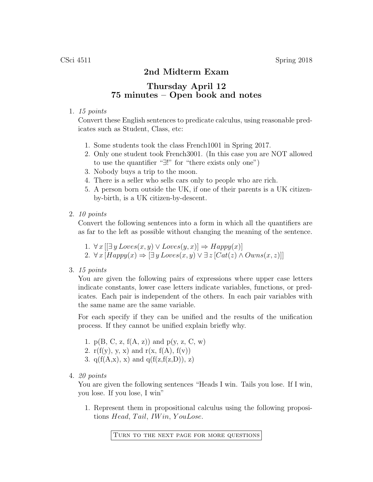## 2nd Midterm Exam

## Thursday April 12 75 minutes – Open book and notes

## 1. 15 points

Convert these English sentences to predicate calculus, using reasonable predicates such as Student, Class, etc:

- 1. Some students took the class French1001 in Spring 2017.
- 2. Only one student took French3001. (In this case you are NOT allowed to use the quantifier "∃!" for "there exists only one")
- 3. Nobody buys a trip to the moon.
- 4. There is a seller who sells cars only to people who are rich.
- 5. A person born outside the UK, if one of their parents is a UK citizenby-birth, is a UK citizen-by-descent.
- 2. 10 points

Convert the following sentences into a form in which all the quantifiers are as far to the left as possible without changing the meaning of the sentence.

- 1.  $\forall x \left[ \exists y \text{Loves}(x, y) \lor \text{Loves}(y, x) \right] \Rightarrow \text{Happy}(x)$ 2.  $\forall x [Happy(x) \Rightarrow \exists y Loves(x, y) \lor \exists z [Cat(z) \land Owns(x, z)]]$
- 3. 15 points

You are given the following pairs of expressions where upper case letters indicate constants, lower case letters indicate variables, functions, or predicates. Each pair is independent of the others. In each pair variables with the same name are the same variable.

For each specify if they can be unified and the results of the unification process. If they cannot be unified explain briefly why.

- 1.  $p(B, C, z, f(A, z))$  and  $p(y, z, C, w)$
- 2.  $r(f(y), y, x)$  and  $r(x, f(A), f(y))$
- 3.  $q(f(A,x), x)$  and  $q(f(z,f(z,D)), z)$
- 4. 20 points

You are given the following sentences "Heads I win. Tails you lose. If I win, you lose. If you lose, I win"

1. Represent them in propositional calculus using the following propositions Head, Tail, IWin, YouLose.

Turn to the next page for more questions